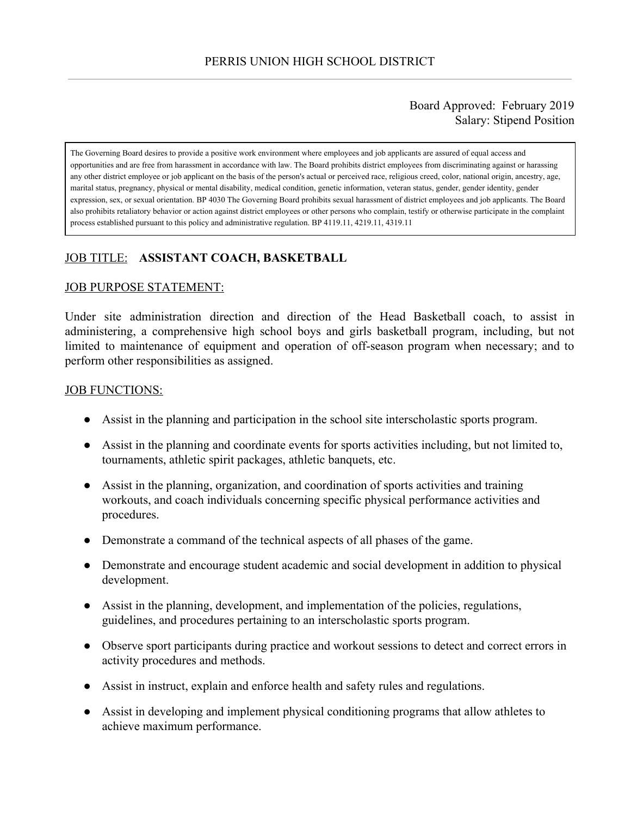### Board Approved: February 2019 Salary: Stipend Position

The Governing Board desires to provide a positive work environment where employees and job applicants are assured of equal access and opportunities and are free from harassment in accordance with law. The Board prohibits district employees from discriminating against or harassing any other district employee or job applicant on the basis of the person's actual or perceived race, religious creed, color, national origin, ancestry, age, marital status, pregnancy, physical or mental disability, medical condition, genetic information, veteran status, gender, gender identity, gender expression, sex, or sexual orientation. BP 4030 The Governing Board prohibits sexual harassment of district employees and job applicants. The Board also prohibits retaliatory behavior or action against district employees or other persons who complain, testify or otherwise participate in the complaint process established pursuant to this policy and administrative regulation. BP 4119.11, 4219.11, 4319.11

# JOB TITLE: **ASSISTANT COACH, BASKETBALL**

#### JOB PURPOSE STATEMENT:

Under site administration direction and direction of the Head Basketball coach, to assist in administering, a comprehensive high school boys and girls basketball program, including, but not limited to maintenance of equipment and operation of off-season program when necessary; and to perform other responsibilities as assigned.

#### JOB FUNCTIONS:

- Assist in the planning and participation in the school site interscholastic sports program.
- Assist in the planning and coordinate events for sports activities including, but not limited to, tournaments, athletic spirit packages, athletic banquets, etc.
- Assist in the planning, organization, and coordination of sports activities and training workouts, and coach individuals concerning specific physical performance activities and procedures.
- Demonstrate a command of the technical aspects of all phases of the game.
- Demonstrate and encourage student academic and social development in addition to physical development.
- Assist in the planning, development, and implementation of the policies, regulations, guidelines, and procedures pertaining to an interscholastic sports program.
- Observe sport participants during practice and workout sessions to detect and correct errors in activity procedures and methods.
- Assist in instruct, explain and enforce health and safety rules and regulations.
- Assist in developing and implement physical conditioning programs that allow athletes to achieve maximum performance.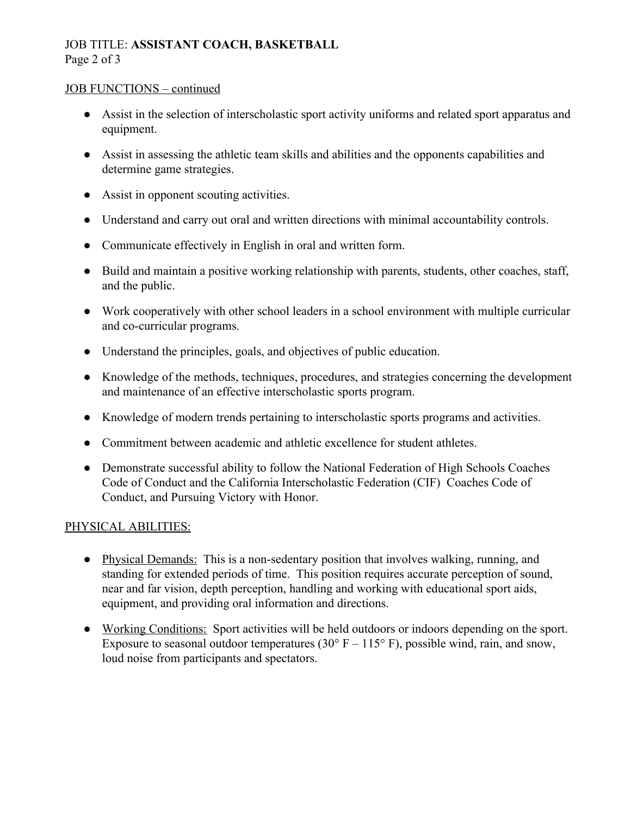# JOB TITLE: **ASSISTANT COACH, BASKETBALL** Page 2 of 3

#### JOB FUNCTIONS – continued

- Assist in the selection of interscholastic sport activity uniforms and related sport apparatus and equipment.
- Assist in assessing the athletic team skills and abilities and the opponents capabilities and determine game strategies.
- Assist in opponent scouting activities.
- Understand and carry out oral and written directions with minimal accountability controls.
- Communicate effectively in English in oral and written form.
- Build and maintain a positive working relationship with parents, students, other coaches, staff, and the public.
- Work cooperatively with other school leaders in a school environment with multiple curricular and co-curricular programs.
- Understand the principles, goals, and objectives of public education.
- Knowledge of the methods, techniques, procedures, and strategies concerning the development and maintenance of an effective interscholastic sports program.
- Knowledge of modern trends pertaining to interscholastic sports programs and activities.
- Commitment between academic and athletic excellence for student athletes.
- Demonstrate successful ability to follow the National Federation of High Schools Coaches Code of Conduct and the California Interscholastic Federation (CIF) Coaches Code of Conduct, and Pursuing Victory with Honor.

# PHYSICAL ABILITIES:

- Physical Demands: This is a non-sedentary position that involves walking, running, and standing for extended periods of time. This position requires accurate perception of sound, near and far vision, depth perception, handling and working with educational sport aids, equipment, and providing oral information and directions.
- Working Conditions: Sport activities will be held outdoors or indoors depending on the sport. Exposure to seasonal outdoor temperatures (30 $\degree$  F – 115 $\degree$  F), possible wind, rain, and snow, loud noise from participants and spectators.